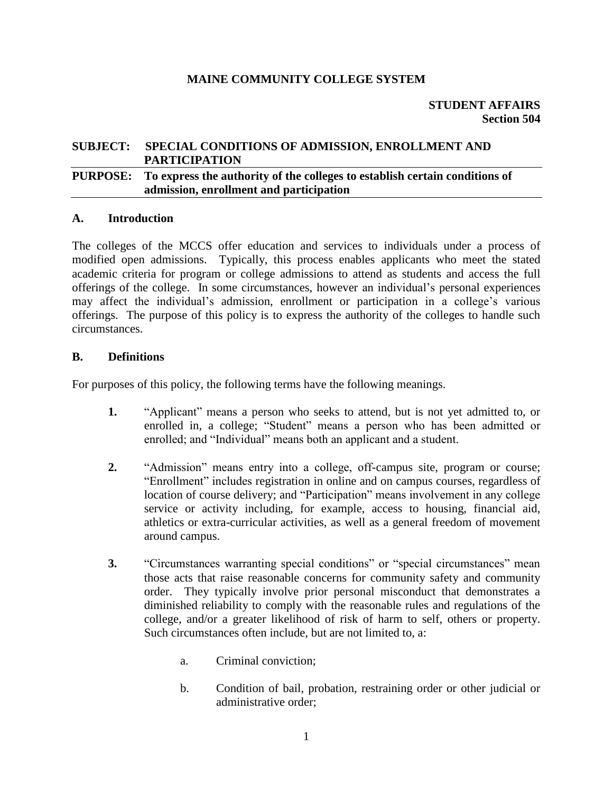#### **MAINE COMMUNITY COLLEGE SYSTEM**

# **SUBJECT: SPECIAL CONDITIONS OF ADMISSION, ENROLLMENT AND PARTICIPATION**

#### **PURPOSE: To express the authority of the colleges to establish certain conditions of admission, enrollment and participation**

#### **A. Introduction**

The colleges of the MCCS offer education and services to individuals under a process of modified open admissions. Typically, this process enables applicants who meet the stated academic criteria for program or college admissions to attend as students and access the full offerings of the college. In some circumstances, however an individual's personal experiences may affect the individual's admission, enrollment or participation in a college's various offerings. The purpose of this policy is to express the authority of the colleges to handle such circumstances.

#### **B. Definitions**

For purposes of this policy, the following terms have the following meanings.

- **1.** "Applicant" means a person who seeks to attend, but is not yet admitted to, or enrolled in, a college; "Student" means a person who has been admitted or enrolled; and "Individual" means both an applicant and a student.
- **2.** "Admission" means entry into a college, off-campus site, program or course; "Enrollment" includes registration in online and on campus courses, regardless of location of course delivery; and "Participation" means involvement in any college service or activity including, for example, access to housing, financial aid, athletics or extra-curricular activities, as well as a general freedom of movement around campus.
- **3.** "Circumstances warranting special conditions" or "special circumstances" mean those acts that raise reasonable concerns for community safety and community order. They typically involve prior personal misconduct that demonstrates a diminished reliability to comply with the reasonable rules and regulations of the college, and/or a greater likelihood of risk of harm to self, others or property. Such circumstances often include, but are not limited to, a:
	- a. Criminal conviction;
	- b. Condition of bail, probation, restraining order or other judicial or administrative order;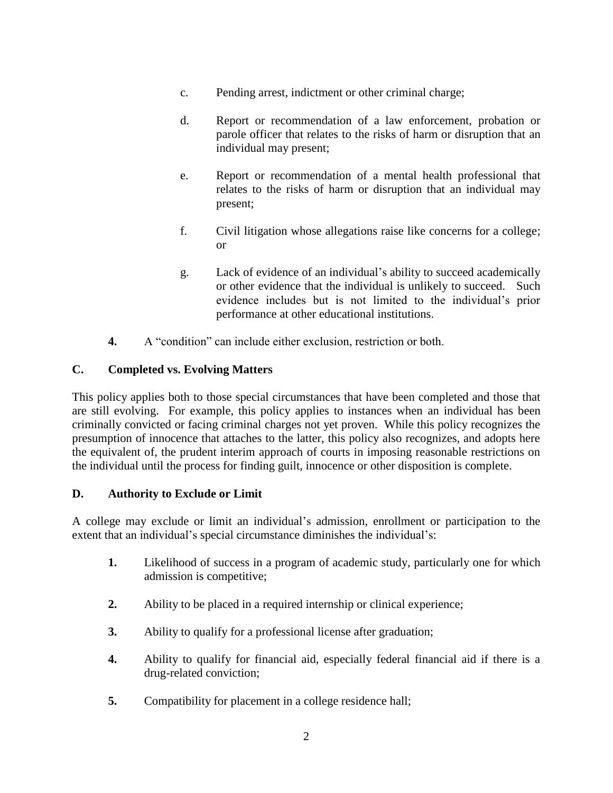- c. Pending arrest, indictment or other criminal charge;
- d. Report or recommendation of a law enforcement, probation or parole officer that relates to the risks of harm or disruption that an individual may present;
- e. Report or recommendation of a mental health professional that relates to the risks of harm or disruption that an individual may present;
- f. Civil litigation whose allegations raise like concerns for a college; or
- g. Lack of evidence of an individual's ability to succeed academically or other evidence that the individual is unlikely to succeed. Such evidence includes but is not limited to the individual's prior performance at other educational institutions.
- **4.** A "condition" can include either exclusion, restriction or both.

### **C. Completed vs. Evolving Matters**

This policy applies both to those special circumstances that have been completed and those that are still evolving. For example, this policy applies to instances when an individual has been criminally convicted or facing criminal charges not yet proven. While this policy recognizes the presumption of innocence that attaches to the latter, this policy also recognizes, and adopts here the equivalent of, the prudent interim approach of courts in imposing reasonable restrictions on the individual until the process for finding guilt, innocence or other disposition is complete.

### **D. Authority to Exclude or Limit**

A college may exclude or limit an individual's admission, enrollment or participation to the extent that an individual's special circumstance diminishes the individual's:

- **1.** Likelihood of success in a program of academic study, particularly one for which admission is competitive;
- **2.** Ability to be placed in a required internship or clinical experience;
- **3.** Ability to qualify for a professional license after graduation;
- **4.** Ability to qualify for financial aid, especially federal financial aid if there is a drug-related conviction;
- **5.** Compatibility for placement in a college residence hall;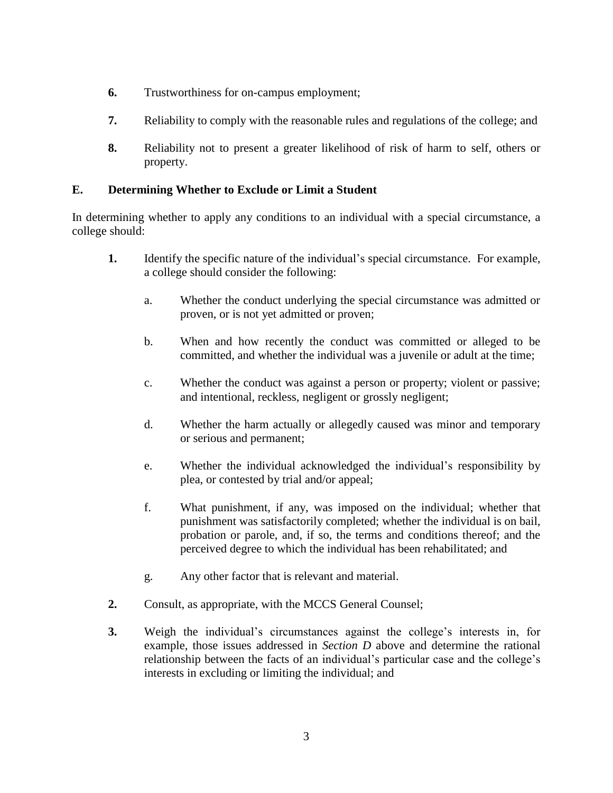- **6.** Trustworthiness for on-campus employment;
- **7.** Reliability to comply with the reasonable rules and regulations of the college; and
- **8.** Reliability not to present a greater likelihood of risk of harm to self, others or property.

### **E. Determining Whether to Exclude or Limit a Student**

In determining whether to apply any conditions to an individual with a special circumstance, a college should:

- **1.** Identify the specific nature of the individual's special circumstance. For example, a college should consider the following:
	- a. Whether the conduct underlying the special circumstance was admitted or proven, or is not yet admitted or proven;
	- b. When and how recently the conduct was committed or alleged to be committed, and whether the individual was a juvenile or adult at the time;
	- c. Whether the conduct was against a person or property; violent or passive; and intentional, reckless, negligent or grossly negligent;
	- d. Whether the harm actually or allegedly caused was minor and temporary or serious and permanent;
	- e. Whether the individual acknowledged the individual's responsibility by plea, or contested by trial and/or appeal;
	- f. What punishment, if any, was imposed on the individual; whether that punishment was satisfactorily completed; whether the individual is on bail, probation or parole, and, if so, the terms and conditions thereof; and the perceived degree to which the individual has been rehabilitated; and
	- g. Any other factor that is relevant and material.
- **2.** Consult, as appropriate, with the MCCS General Counsel;
- **3.** Weigh the individual's circumstances against the college's interests in, for example, those issues addressed in *Section D* above and determine the rational relationship between the facts of an individual's particular case and the college's interests in excluding or limiting the individual; and